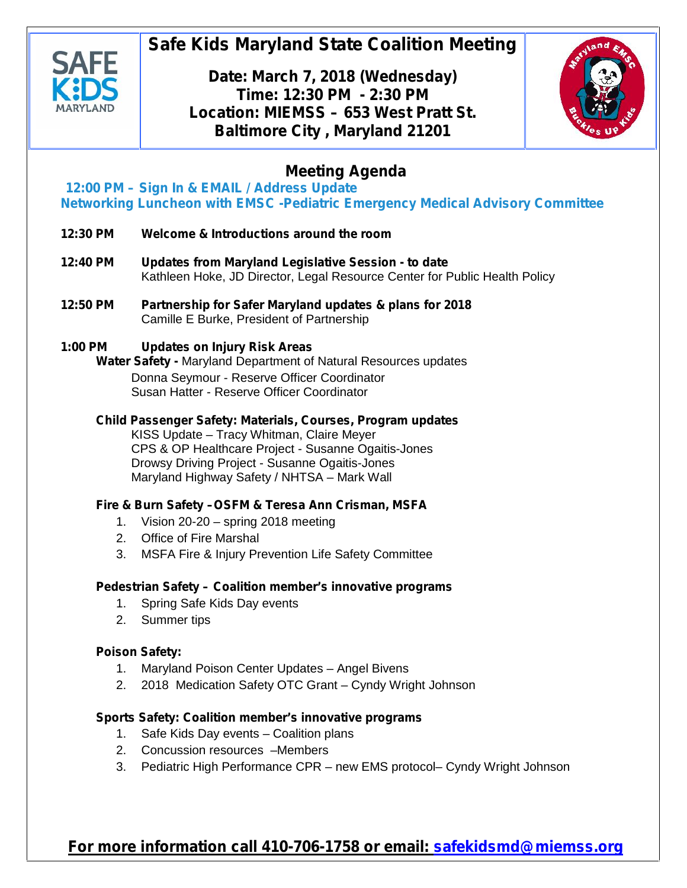

# **Safe Kids Maryland State Coalition Meeting**

**Date: March 7, 2018 (Wednesday) Time: 12:30 PM - 2:30 PM Location: MIEMSS – 653 West Pratt St. Baltimore City , Maryland 21201**



## **Meeting Agenda**

**12:00 PM – Sign In & EMAIL / Address Update** *Networking Luncheon with EMSC -Pediatric Emergency Medical Advisory Committee*

- **12:30 PM Welcome & Introductions around the room**
- **12:40 PM Updates from Maryland Legislative Session - to date** Kathleen Hoke, JD Director, Legal Resource Center for Public Health Policy
- **12:50 PM Partnership for Safer Maryland updates & plans for 2018** Camille E Burke, President of Partnership

#### **1:00 PM Updates on Injury Risk Areas**

**Water Safety -** Maryland Department of Natural Resources updates Donna Seymour - Reserve Officer Coordinator Susan Hatter - Reserve Officer Coordinator

## **Child Passenger Safety: Materials, Courses, Program updates**

KISS Update – Tracy Whitman, Claire Meyer CPS & OP Healthcare Project - Susanne Ogaitis-Jones Drowsy Driving Project - Susanne Ogaitis-Jones Maryland Highway Safety / NHTSA – Mark Wall

### **Fire & Burn Safety –OSFM & Teresa Ann Crisman, MSFA**

- 1. Vision 20-20 spring 2018 meeting
- 2. Office of Fire Marshal
- 3. MSFA Fire & Injury Prevention Life Safety Committee

### **Pedestrian Safety – Coalition member's innovative programs**

- 1. Spring Safe Kids Day events
- 2. Summer tips

#### **Poison Safety:**

- 1. Maryland Poison Center Updates Angel Bivens
- 2. 2018 Medication Safety OTC Grant Cyndy Wright Johnson

### **Sports Safety: Coalition member's innovative programs**

- 1. Safe Kids Day events Coalition plans
- 2. Concussion resources –Members
- 3. Pediatric High Performance CPR new EMS protocol– Cyndy Wright Johnson

## **For more information call 410-706-1758 or email: safekidsmd@miemss.org**